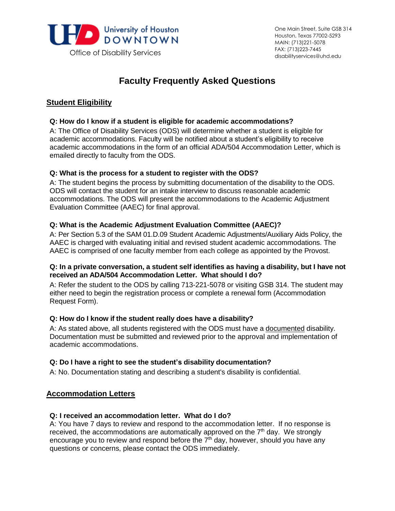

# **Faculty Frequently Asked Questions**

# **Student Eligibility**

## **Q: How do I know if a student is eligible for academic accommodations?**

 A: The Office of Disability Services (ODS) will determine whether a student is eligible for academic accommodations. Faculty will be notified about a student's eligibility to receive academic accommodations in the form of an official ADA/504 Accommodation Letter, which is emailed directly to faculty from the ODS.

## **Q: What is the process for a student to register with the ODS?**

 A: The student begins the process by submitting documentation of the disability to the ODS. ODS will contact the student for an intake interview to discuss reasonable academic accommodations. The ODS will present the accommodations to the Academic Adjustment Evaluation Committee (AAEC) for final approval.

## **Q: What is the Academic Adjustment Evaluation Committee (AAEC)?**

 A: Per Section 5.3 of the SAM 01.D.09 Student Academic Adjustments/Auxiliary Aids Policy, the AAEC is charged with evaluating initial and revised student academic accommodations. The AAEC is comprised of one faculty member from each college as appointed by the Provost.

#### **Q: In a private conversation, a student self identifies as having a disability, but I have not received an ADA/504 Accommodation Letter. What should I do?**

 A: Refer the student to the ODS by calling 713-221-5078 or visiting GSB 314. The student may either need to begin the registration process or complete a renewal form (Accommodation Request Form).

## **Q: How do I know if the student really does have a disability?**

A: As stated above, all students registered with the ODS must have a documented disability. Documentation must be submitted and reviewed prior to the approval and implementation of academic accommodations.

## **Q: Do I have a right to see the student's disability documentation?**

A: No. Documentation stating and describing a student's disability is confidential.

## **Accommodation Letters**

## **Q: I received an accommodation letter. What do I do?**

 A: You have 7 days to review and respond to the accommodation letter. If no response is received, the accommodations are automatically approved on the  $7<sup>th</sup>$  day. We strongly encourage you to review and respond before the  $7<sup>th</sup>$  day, however, should you have any questions or concerns, please contact the ODS immediately.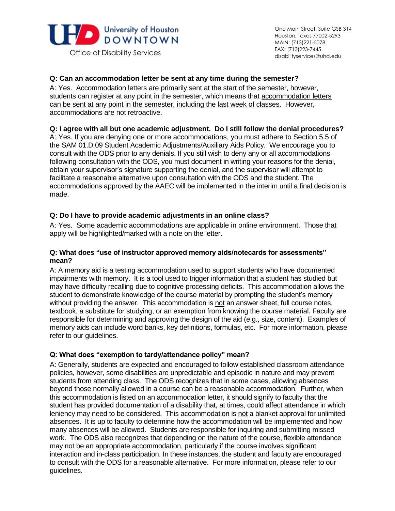

## **Q: Can an accommodation letter be sent at any time during the semester?**

 A: Yes. Accommodation letters are primarily sent at the start of the semester, however, students can register at any point in the semester, which means that **accommodation letters**  can be sent at any point in the semester, including the last week of classes. However, accommodations are not retroactive.

## **Q: I agree with all but one academic adjustment. Do I still follow the denial procedures?**

 A: Yes. If you are denying one or more accommodations, you must adhere to Section 5.5 of the SAM 01.D.09 Student Academic Adjustments/Auxiliary Aids Policy. We encourage you to consult with the ODS prior to any denials. If you still wish to deny any or all accommodations following consultation with the ODS, you must document in writing your reasons for the denial, obtain your supervisor's signature supporting the denial, and the supervisor will attempt to facilitate a reasonable alternative upon consultation with the ODS and the student. The accommodations approved by the AAEC will be implemented in the interim until a final decision is made.

## **Q: Do I have to provide academic adjustments in an online class?**

 A: Yes. Some academic accommodations are applicable in online environment. Those that apply will be highlighted/marked with a note on the letter.

## **Q: What does "use of instructor approved memory aids/notecards for assessments" mean?**

 A: A memory aid is a testing accommodation used to support students who have documented impairments with memory. It is a tool used to trigger information that a student has studied but may have difficulty recalling due to cognitive processing deficits. This accommodation allows the student to demonstrate knowledge of the course material by prompting the student's memory without providing the answer. This accommodation is not an answer sheet, full course notes, textbook, a substitute for studying, or an exemption from knowing the course material. Faculty are responsible for determining and approving the design of the aid (e.g., size, content). Examples of memory aids can include word banks, key definitions, formulas, etc. For more information, please refer to our guidelines.

## **Q: What does "exemption to tardy/attendance policy" mean?**

 A: Generally, students are expected and encouraged to follow established classroom attendance policies, however, some disabilities are unpredictable and episodic in nature and may prevent students from attending class. The ODS recognizes that in some cases, allowing absences beyond those normally allowed in a course can be a reasonable accommodation. Further, when this accommodation is listed on an accommodation letter, it should signify to faculty that the student has provided documentation of a disability that, at times, could affect attendance in which leniency may need to be considered. This accommodation is not a blanket approval for unlimited absences. It is up to faculty to determine how the accommodation will be implemented and how many absences will be allowed. Students are responsible for inquiring and submitting missed work. The ODS also recognizes that depending on the nature of the course, flexible attendance may not be an appropriate accommodation, particularly if the course involves significant interaction and in-class participation. In these instances, the student and faculty are encouraged to consult with the ODS for a reasonable alternative. For more information, please refer to our guidelines.